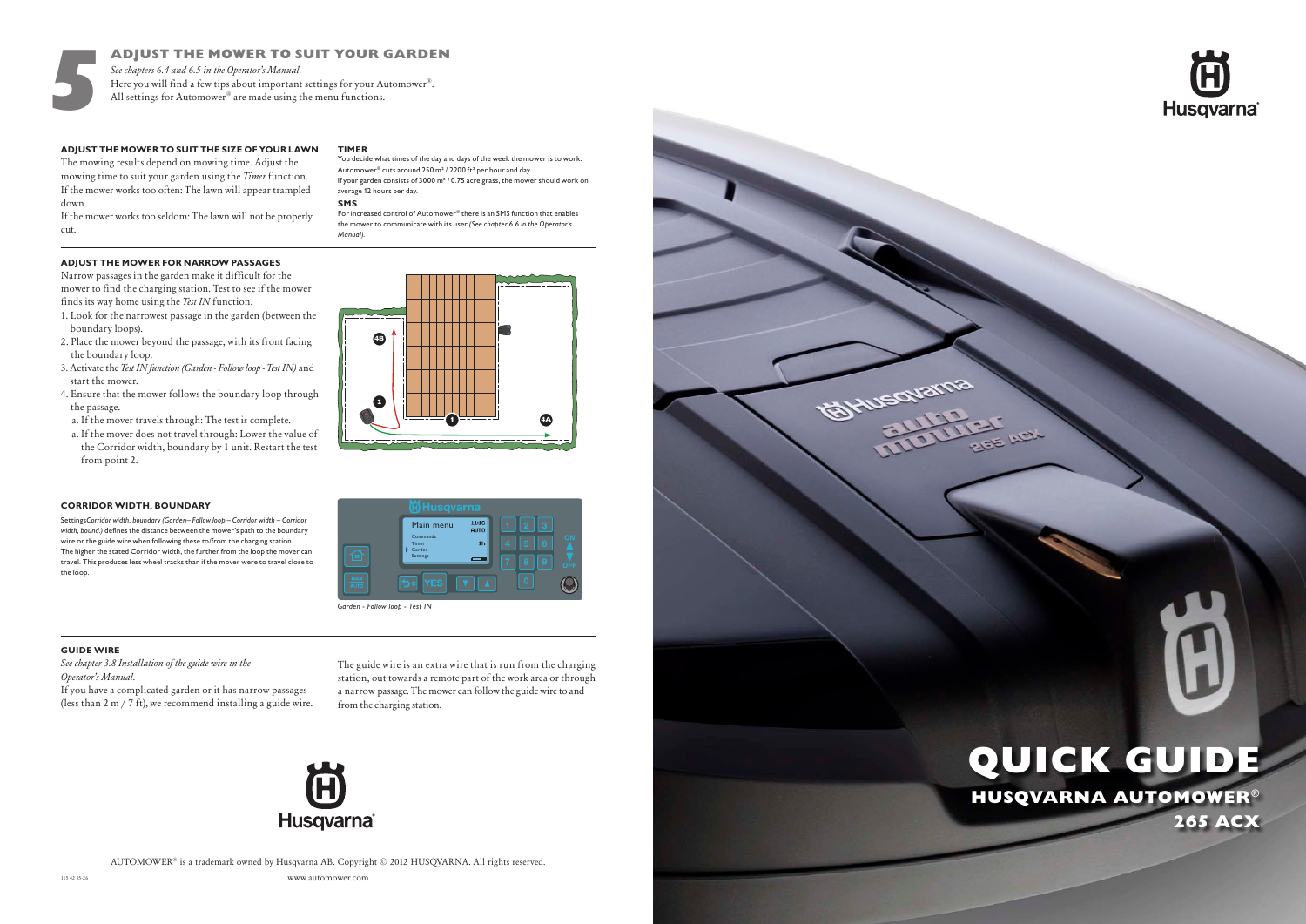www.automower.com AUTOMOWER® is a trademark owned by Husqvarna AB. Copyright © 2012 HUSQVARNA. All rights reserved.

# HUSQVARNA AUTOMOWER® 265 ACX QUICK GUIDE





5



## **ADJUST THE MOWER TO SUIT THE SIZE OF YOUR LAWN**

The mowing results depend on mowing time. Adjust the mowing time to suit your garden using the *Timer* function. If the mower works too often: The lawn will appear trampled down.

If the mower works too seldom: The lawn will not be properly cut.

## **TIMER**

### **ADJUST THE MOWER FOR NARROW PASSAGES**

Narrow passages in the garden make it difficult for the mower to find the charging station. Test to see if the mower finds its way home using the *Test IN* function.

- 1. Look for the narrowest passage in the garden (between the boundary loops).
- 2. Place the mower beyond the passage, with its front facing the boundary loop.
- 3. Activate the *Test IN function (Garden Follow loop Test IN)* and start the mower.
- 4. Ensure that the mower follows the boundary loop through the passage.
- a. If the mover travels through: The test is complete.
- a. If the mover does not travel through: Lower the value of the Corridor width, boundary by 1 unit. Restart the test from point 2.



### **GUIDE WIRE**

*See chapter 3.8 Installation of the guide wire in the Operator's Manual.*

For increased control of Automower® there is an SMS function that enables the mower to communicate with its user *(See chapter 6.6 in the Operator's Manual).*

If you have a complicated garden or it has narrow passages (less than 2 m / 7 ft), we recommend installing a guide wire. The guide wire is an extra wire that is run from the charging station, out towards a remote part of the work area or through a narrow passage. The mower can follow the guide wire to and from the charging station.



# ADJUST THE MOWER TO SUIT YOUR GARDEN

*See chapters 6.4 and 6.5 in the Operator's Manual.* Here you will find a few tips about important settings for your Automower®. All settings for Automower® are made using the menu functions.

> You decide what times of the day and days of the week the mower is to work. Automower® cuts around 250 m² / 2200 ft² per hour and day. If your garden consists of 3000 m² / 0.75 acre grass, the mower should work on average 12 hours per day.

### **CORRIDOR WIDTH, BOUNDARY**

Settings*Corridor width, boundary (Garden– Follow loop – Corridor width – Corridor width, bound.)* defines the distance between the mower's path to the boundary wire or the guide wire when following these to/from the charging station. The higher the stated Corridor width, the further from the loop the mover can travel. This produces less wheel tracks than if the mover were to travel close to the loop.

### **SMS**